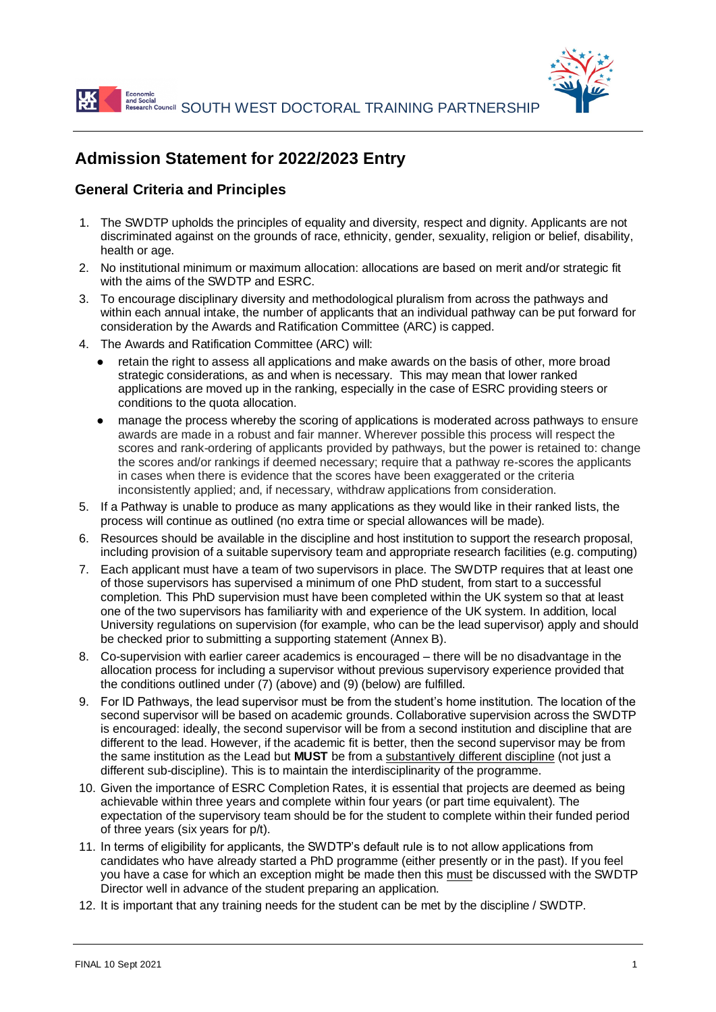

# **Admission Statement for 2022/2023 Entry**

### **General Criteria and Principles**

- 1. The SWDTP upholds the principles of equality and diversity, respect and dignity. Applicants are not discriminated against on the grounds of race, ethnicity, gender, sexuality, religion or belief, disability, health or age.
- 2. No institutional minimum or maximum allocation: allocations are based on merit and/or strategic fit with the aims of the SWDTP and ESRC.
- 3. To encourage disciplinary diversity and methodological pluralism from across the pathways and within each annual intake, the number of applicants that an individual pathway can be put forward for consideration by the Awards and Ratification Committee (ARC) is capped.
- 4. The Awards and Ratification Committee (ARC) will:
	- retain the right to assess all applications and make awards on the basis of other, more broad strategic considerations, as and when is necessary. This may mean that lower ranked applications are moved up in the ranking, especially in the case of ESRC providing steers or conditions to the quota allocation.
	- manage the process whereby the scoring of applications is moderated across pathways to ensure awards are made in a robust and fair manner. Wherever possible this process will respect the scores and rank-ordering of applicants provided by pathways, but the power is retained to: change the scores and/or rankings if deemed necessary; require that a pathway re-scores the applicants in cases when there is evidence that the scores have been exaggerated or the criteria inconsistently applied; and, if necessary, withdraw applications from consideration.
- 5. If a Pathway is unable to produce as many applications as they would like in their ranked lists, the process will continue as outlined (no extra time or special allowances will be made).
- 6. Resources should be available in the discipline and host institution to support the research proposal, including provision of a suitable supervisory team and appropriate research facilities (e.g. computing)
- 7. Each applicant must have a team of two supervisors in place. The SWDTP requires that at least one of those supervisors has supervised a minimum of one PhD student, from start to a successful completion. This PhD supervision must have been completed within the UK system so that at least one of the two supervisors has familiarity with and experience of the UK system. In addition, local University regulations on supervision (for example, who can be the lead supervisor) apply and should be checked prior to submitting a supporting statement (Annex B).
- 8. Co-supervision with earlier career academics is encouraged there will be no disadvantage in the allocation process for including a supervisor without previous supervisory experience provided that the conditions outlined under (7) (above) and (9) (below) are fulfilled.
- 9. For ID Pathways, the lead supervisor must be from the student's home institution. The location of the second supervisor will be based on academic grounds. Collaborative supervision across the SWDTP is encouraged: ideally, the second supervisor will be from a second institution and discipline that are different to the lead. However, if the academic fit is better, then the second supervisor may be from the same institution as the Lead but **MUST** be from a substantively different discipline (not just a different sub-discipline). This is to maintain the interdisciplinarity of the programme.
- 10. Given the importance of ESRC Completion Rates, it is essential that projects are deemed as being achievable within three years and complete within four years (or part time equivalent). The expectation of the supervisory team should be for the student to complete within their funded period of three years (six years for p/t).
- 11. In terms of eligibility for applicants, the SWDTP's default rule is to not allow applications from candidates who have already started a PhD programme (either presently or in the past). If you feel you have a case for which an exception might be made then this must be discussed with the SWDTP Director well in advance of the student preparing an application.
- 12. It is important that any training needs for the student can be met by the discipline / SWDTP.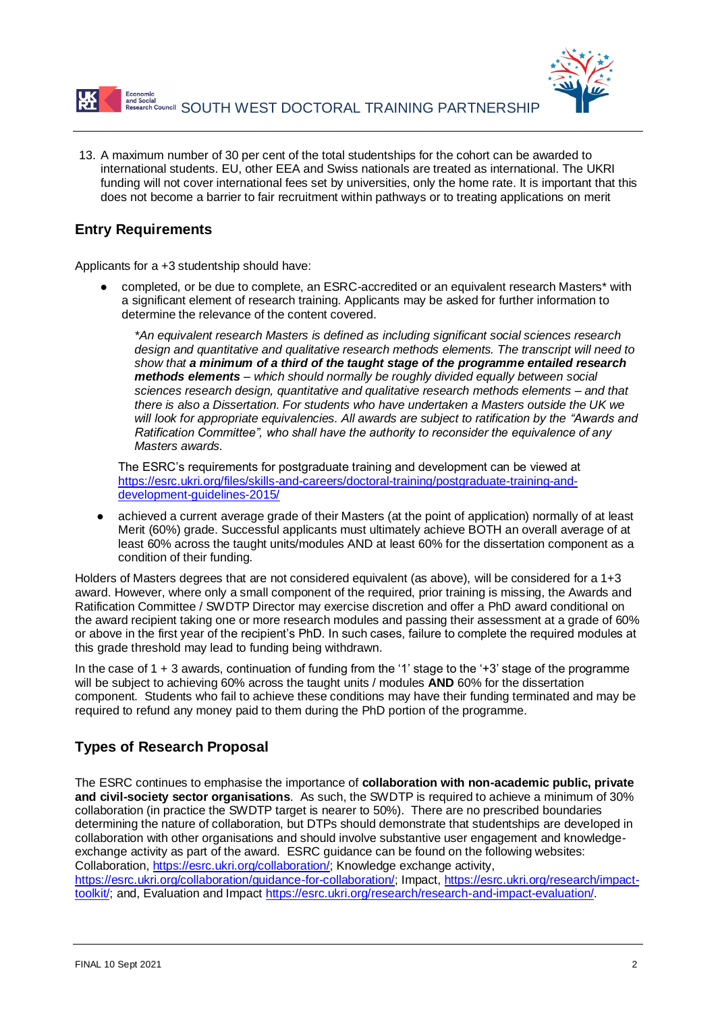

13. A maximum number of 30 per cent of the total studentships for the cohort can be awarded to international students. EU, other EEA and Swiss nationals are treated as international. The UKRI funding will not cover international fees set by universities, only the home rate. It is important that this does not become a barrier to fair recruitment within pathways or to treating applications on merit

## **Entry Requirements**

Applicants for a +3 studentship should have:

completed, or be due to complete, an ESRC-accredited or an equivalent research Masters\* with a significant element of research training. Applicants may be asked for further information to determine the relevance of the content covered.

*\*An equivalent research Masters is defined as including significant social sciences research design and quantitative and qualitative research methods elements. The transcript will need to show that a minimum of a third of the taught stage of the programme entailed research methods elements – which should normally be roughly divided equally between social sciences research design, quantitative and qualitative research methods elements – and that there is also a Dissertation. For students who have undertaken a Masters outside the UK we will look for appropriate equivalencies. All awards are subject to ratification by the "Awards and Ratification Committee", who shall have the authority to reconsider the equivalence of any Masters awards.*

The ESRC's requirements for postgraduate training and development can be viewed at [https://esrc.ukri.org/files/skills-and-careers/doctoral-training/postgraduate-training-and](https://esrc.ukri.org/files/skills-and-careers/doctoral-training/postgraduate-training-and-development-guidelines-2015/)[development-guidelines-2015/](https://esrc.ukri.org/files/skills-and-careers/doctoral-training/postgraduate-training-and-development-guidelines-2015/)

achieved a current average grade of their Masters (at the point of application) normally of at least Merit (60%) grade. Successful applicants must ultimately achieve BOTH an overall average of at least 60% across the taught units/modules AND at least 60% for the dissertation component as a condition of their funding.

Holders of Masters degrees that are not considered equivalent (as above), will be considered for a 1+3 award. However, where only a small component of the required, prior training is missing, the Awards and Ratification Committee / SWDTP Director may exercise discretion and offer a PhD award conditional on the award recipient taking one or more research modules and passing their assessment at a grade of 60% or above in the first year of the recipient's PhD. In such cases, failure to complete the required modules at this grade threshold may lead to funding being withdrawn.

In the case of  $1 + 3$  awards, continuation of funding from the '1' stage to the '+3' stage of the programme will be subject to achieving 60% across the taught units / modules **AND** 60% for the dissertation component. Students who fail to achieve these conditions may have their funding terminated and may be required to refund any money paid to them during the PhD portion of the programme.

## **Types of Research Proposal**

The ESRC continues to emphasise the importance of **collaboration with non-academic public, private and civil-society sector organisations**. As such, the SWDTP is required to achieve a minimum of 30% collaboration (in practice the SWDTP target is nearer to 50%). There are no prescribed boundaries determining the nature of collaboration, but DTPs should demonstrate that studentships are developed in collaboration with other organisations and should involve substantive user engagement and knowledgeexchange activity as part of the award. ESRC guidance can be found on the following websites: Collaboration, [https://esrc.ukri.org/collaboration/;](https://esrc.ukri.org/collaboration/) Knowledge exchange activity, [https://esrc.ukri.org/collaboration/guidance-for-collaboration/;](https://esrc.ukri.org/collaboration/guidance-for-collaboration/) Impact, [https://esrc.ukri.org/research/impact](https://esrc.ukri.org/research/impact-toolkit/)[toolkit/;](https://esrc.ukri.org/research/impact-toolkit/) and, Evaluation and Impact [https://esrc.ukri.org/research/research-and-impact-evaluation/.](https://esrc.ukri.org/research/research-and-impact-evaluation/)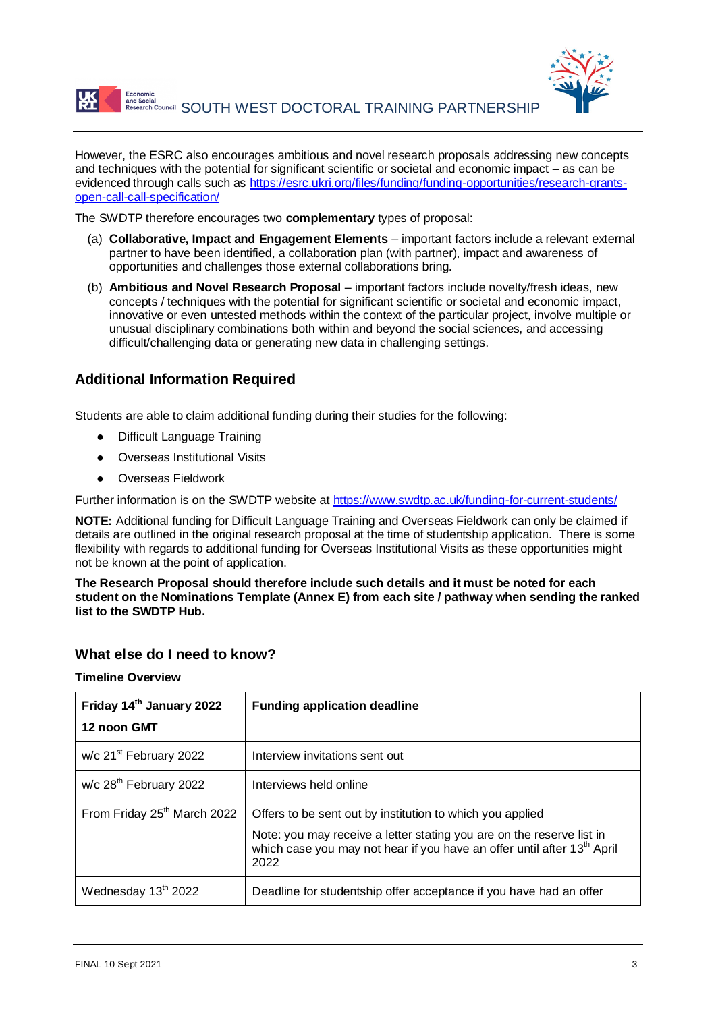



However, the ESRC also encourages ambitious and novel research proposals addressing new concepts and techniques with the potential for significant scientific or societal and economic impact – as can be evidenced through calls such as [https://esrc.ukri.org/files/funding/funding-opportunities/research-grants](https://esrc.ukri.org/files/funding/funding-opportunities/research-grants-open-call-call-specification/)[open-call-call-specification/](https://esrc.ukri.org/files/funding/funding-opportunities/research-grants-open-call-call-specification/)

The SWDTP therefore encourages two **complementary** types of proposal:

- (a) **Collaborative, Impact and Engagement Elements**  important factors include a relevant external partner to have been identified, a collaboration plan (with partner), impact and awareness of opportunities and challenges those external collaborations bring.
- (b) **Ambitious and Novel Research Proposal** important factors include novelty/fresh ideas, new concepts / techniques with the potential for significant scientific or societal and economic impact, innovative or even untested methods within the context of the particular project, involve multiple or unusual disciplinary combinations both within and beyond the social sciences, and accessing difficult/challenging data or generating new data in challenging settings.

### **Additional Information Required**

Students are able to claim additional funding during their studies for the following:

- **Difficult Language Training**
- **Overseas Institutional Visits**
- Overseas Fieldwork

Further information is on the SWDTP website at<https://www.swdtp.ac.uk/funding-for-current-students/>

**NOTE:** Additional funding for Difficult Language Training and Overseas Fieldwork can only be claimed if details are outlined in the original research proposal at the time of studentship application. There is some flexibility with regards to additional funding for Overseas Institutional Visits as these opportunities might not be known at the point of application.

**The Research Proposal should therefore include such details and it must be noted for each student on the Nominations Template (Annex E) from each site / pathway when sending the ranked list to the SWDTP Hub.**

### **What else do I need to know?**

#### **Timeline Overview**

| Friday 14th January 2022                | <b>Funding application deadline</b>                                                                                                                                                                                               |
|-----------------------------------------|-----------------------------------------------------------------------------------------------------------------------------------------------------------------------------------------------------------------------------------|
| 12 noon GMT                             |                                                                                                                                                                                                                                   |
| w/c 21 <sup>st</sup> February 2022      | Interview invitations sent out                                                                                                                                                                                                    |
| w/c 28 <sup>th</sup> February 2022      | Interviews held online                                                                                                                                                                                                            |
| From Friday 25 <sup>th</sup> March 2022 | Offers to be sent out by institution to which you applied<br>Note: you may receive a letter stating you are on the reserve list in<br>which case you may not hear if you have an offer until after 13 <sup>th</sup> April<br>2022 |
| Wednesday 13 <sup>th</sup> 2022         | Deadline for studentship offer acceptance if you have had an offer                                                                                                                                                                |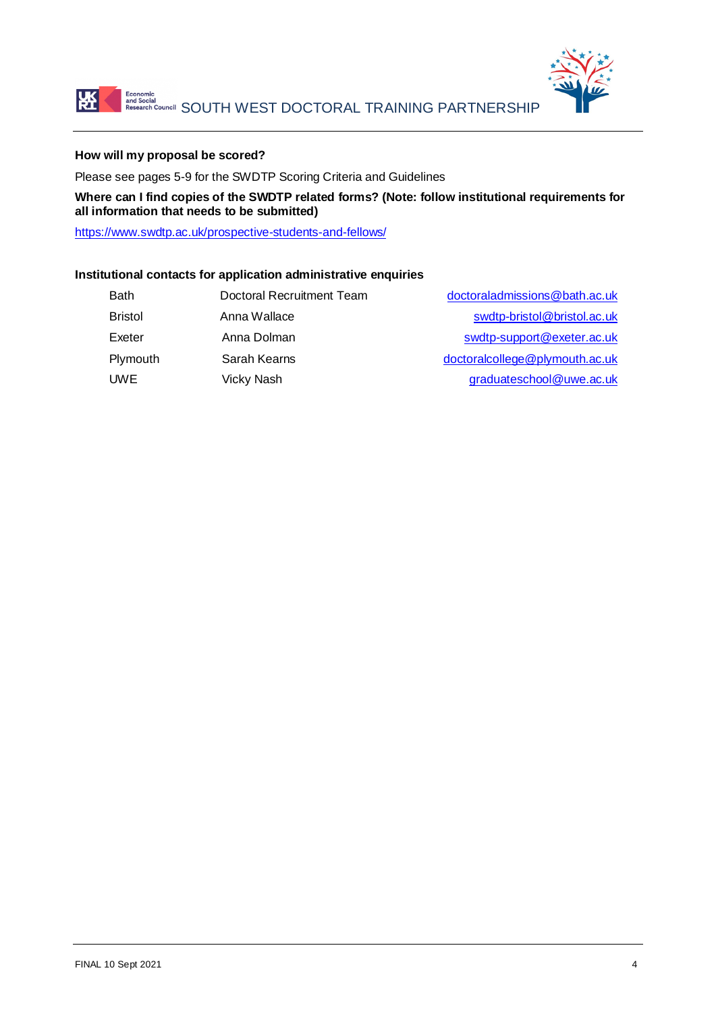



### **How will my proposal be scored?**

Please see pages 5-9 for the SWDTP Scoring Criteria and Guidelines

**Where can I find copies of the SWDTP related forms? (Note: follow institutional requirements for all information that needs to be submitted)**

<https://www.swdtp.ac.uk/prospective-students-and-fellows/>

### **Institutional contacts for application administrative enquiries**

| <b>Bath</b>    | Doctoral Recruitment Team | doctoraladmissions@bath.ac.uk  |
|----------------|---------------------------|--------------------------------|
| <b>Bristol</b> | Anna Wallace              | swdtp-bristol@bristol.ac.uk    |
| Exeter         | Anna Dolman               | swdtp-support@exeter.ac.uk     |
| Plymouth       | Sarah Kearns              | doctoralcollege@plymouth.ac.uk |
| <b>UWE</b>     | Vicky Nash                | graduateschool@uwe.ac.uk       |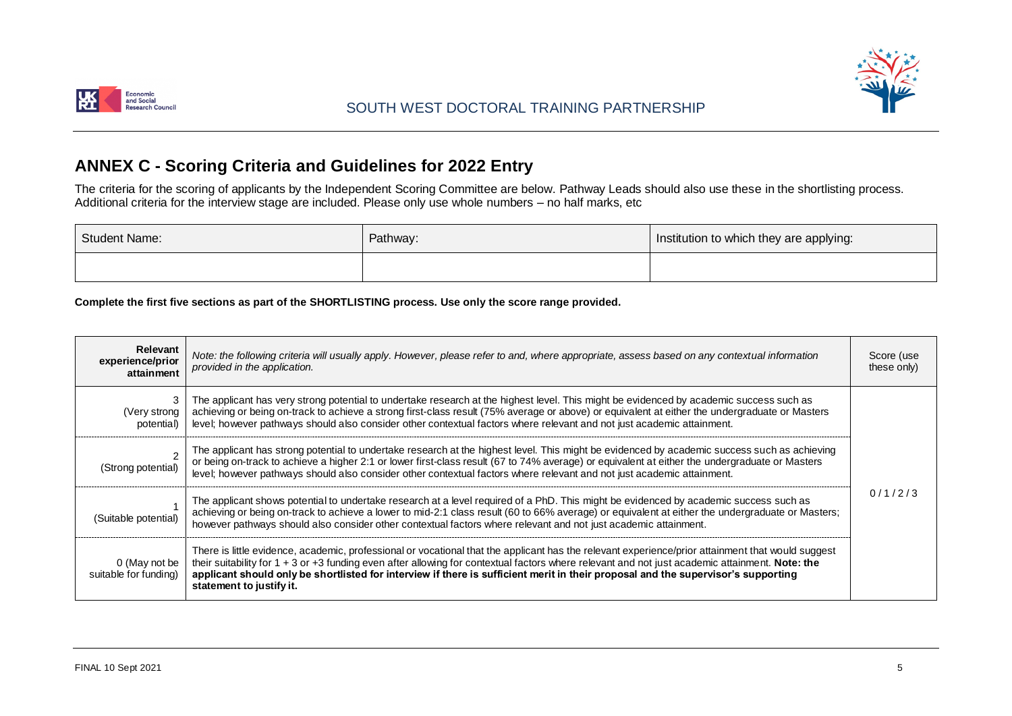



# **ANNEX C - Scoring Criteria and Guidelines for 2022 Entry**

The criteria for the scoring of applicants by the Independent Scoring Committee are below. Pathway Leads should also use these in the shortlisting process. Additional criteria for the interview stage are included. Please only use whole numbers – no half marks, etc

| <b>Student Name:</b> | Pathway: | Institution to which they are applying: |
|----------------------|----------|-----------------------------------------|
|                      |          |                                         |

**Complete the first five sections as part of the SHORTLISTING process. Use only the score range provided.**

| <b>Relevant</b><br>experience/prior<br>attainment | Note: the following criteria will usually apply. However, please refer to and, where appropriate, assess based on any contextual information<br>provided in the application.                                                                                                                                                                                                                                                                                              | Score (use<br>these only) |
|---------------------------------------------------|---------------------------------------------------------------------------------------------------------------------------------------------------------------------------------------------------------------------------------------------------------------------------------------------------------------------------------------------------------------------------------------------------------------------------------------------------------------------------|---------------------------|
| (Very strong)<br>potential)                       | The applicant has very strong potential to undertake research at the highest level. This might be evidenced by academic success such as<br>achieving or being on-track to achieve a strong first-class result (75% average or above) or equivalent at either the undergraduate or Masters<br>level; however pathways should also consider other contextual factors where relevant and not just academic attainment.                                                       |                           |
| (Strong potential)                                | The applicant has strong potential to undertake research at the highest level. This might be evidenced by academic success such as achieving<br>or being on-track to achieve a higher 2:1 or lower first-class result (67 to 74% average) or equivalent at either the undergraduate or Masters<br>level; however pathways should also consider other contextual factors where relevant and not just academic attainment.                                                  |                           |
| (Suitable potential)                              | The applicant shows potential to undertake research at a level required of a PhD. This might be evidenced by academic success such as<br>achieving or being on-track to achieve a lower to mid-2:1 class result (60 to 66% average) or equivalent at either the undergraduate or Masters;<br>however pathways should also consider other contextual factors where relevant and not just academic attainment.                                                              | 0/1/2/3                   |
| 0 (May not be<br>suitable for funding)            | There is little evidence, academic, professional or vocational that the applicant has the relevant experience/prior attainment that would suggest<br>their suitability for $1 + 3$ or $+3$ funding even after allowing for contextual factors where relevant and not just academic attainment. Note: the<br>applicant should only be shortlisted for interview if there is sufficient merit in their proposal and the supervisor's supporting<br>statement to justify it. |                           |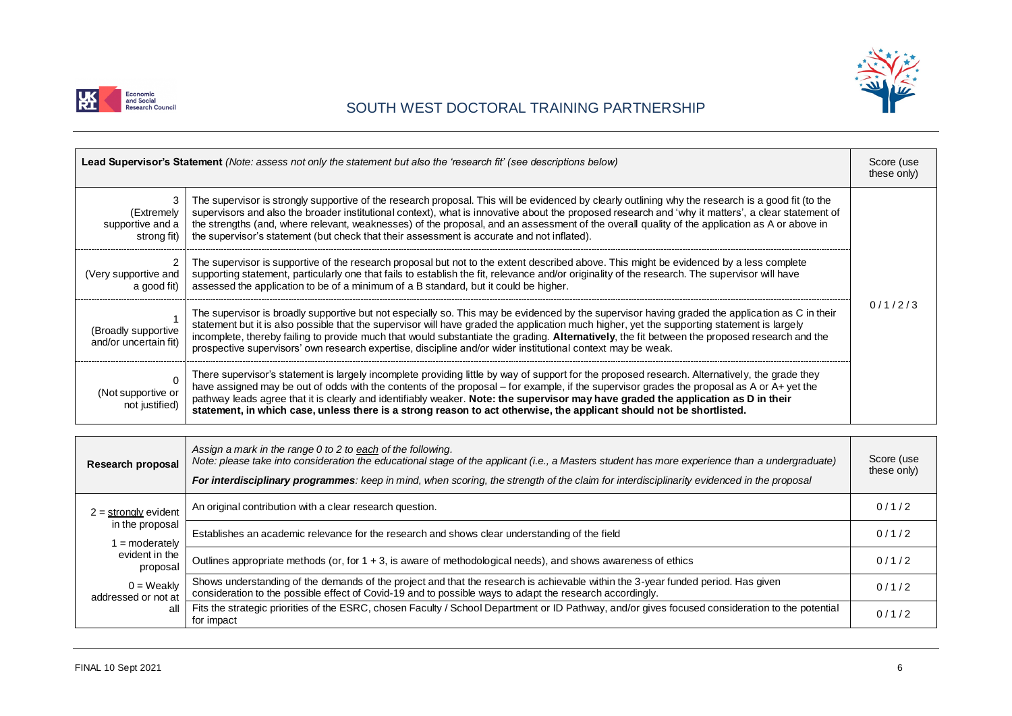



## SOUTH WEST DOCTORAL TRAINING PARTNERSHIP

| Lead Supervisor's Statement (Note: assess not only the statement but also the 'research fit' (see descriptions below) |                                                                                                                                                                                                                                                                                                                                                                                                                                                                                                                                                                | Score (use<br>these only) |
|-----------------------------------------------------------------------------------------------------------------------|----------------------------------------------------------------------------------------------------------------------------------------------------------------------------------------------------------------------------------------------------------------------------------------------------------------------------------------------------------------------------------------------------------------------------------------------------------------------------------------------------------------------------------------------------------------|---------------------------|
| (Extremely<br>supportive and a<br>strong fit)                                                                         | The supervisor is strongly supportive of the research proposal. This will be evidenced by clearly outlining why the research is a good fit (to the<br>supervisors and also the broader institutional context), what is innovative about the proposed research and 'why it matters', a clear statement of<br>the strengths (and, where relevant, weaknesses) of the proposal, and an assessment of the overall quality of the application as A or above in<br>the supervisor's statement (but check that their assessment is accurate and not inflated).        |                           |
| (Very supportive and<br>a good fit)                                                                                   | The supervisor is supportive of the research proposal but not to the extent described above. This might be evidenced by a less complete<br>supporting statement, particularly one that fails to establish the fit, relevance and/or originality of the research. The supervisor will have<br>assessed the application to be of a minimum of a B standard, but it could be higher.                                                                                                                                                                              |                           |
| (Broadly supportive<br>and/or uncertain fit)                                                                          | The supervisor is broadly supportive but not especially so. This may be evidenced by the supervisor having graded the application as C in their<br>statement but it is also possible that the supervisor will have graded the application much higher, yet the supporting statement is largely<br>incomplete, thereby failing to provide much that would substantiate the grading. Alternatively, the fit between the proposed research and the<br>prospective supervisors' own research expertise, discipline and/or wider institutional context may be weak. | 0/1/2/3                   |
| (Not supportive or<br>not justified)                                                                                  | There supervisor's statement is largely incomplete providing little by way of support for the proposed research. Alternatively, the grade they<br>have assigned may be out of odds with the contents of the proposal – for example, if the supervisor grades the proposal as A or A+ yet the<br>pathway leads agree that it is clearly and identifiably weaker. Note: the supervisor may have graded the application as D in their<br>statement, in which case, unless there is a strong reason to act otherwise, the applicant should not be shortlisted.     |                           |

| Research proposal                   | Assign a mark in the range 0 to 2 to each of the following.<br>Note: please take into consideration the educational stage of the applicant (i.e., a Masters student has more experience than a undergraduate)<br>For interdisciplinary programmes: keep in mind, when scoring, the strength of the claim for interdisciplinarity evidenced in the proposal | Score (use<br>these only) |
|-------------------------------------|------------------------------------------------------------------------------------------------------------------------------------------------------------------------------------------------------------------------------------------------------------------------------------------------------------------------------------------------------------|---------------------------|
| $2 =$ strongly evident              | An original contribution with a clear research question.                                                                                                                                                                                                                                                                                                   | 0/1/2                     |
| in the proposal<br>$=$ moderately   | Establishes an academic relevance for the research and shows clear understanding of the field                                                                                                                                                                                                                                                              | 0/1/2                     |
| evident in the<br>proposal          | Outlines appropriate methods (or, for 1 + 3, is aware of methodological needs), and shows awareness of ethics                                                                                                                                                                                                                                              | 0/1/2                     |
| $0 =$ Weakly<br>addressed or not at | Shows understanding of the demands of the project and that the research is achievable within the 3-year funded period. Has given<br>consideration to the possible effect of Covid-19 and to possible ways to adapt the research accordingly.                                                                                                               | 0/1/2                     |
| all                                 | Fits the strategic priorities of the ESRC, chosen Faculty / School Department or ID Pathway, and/or gives focused consideration to the potential<br>for impact                                                                                                                                                                                             | 0/1/2                     |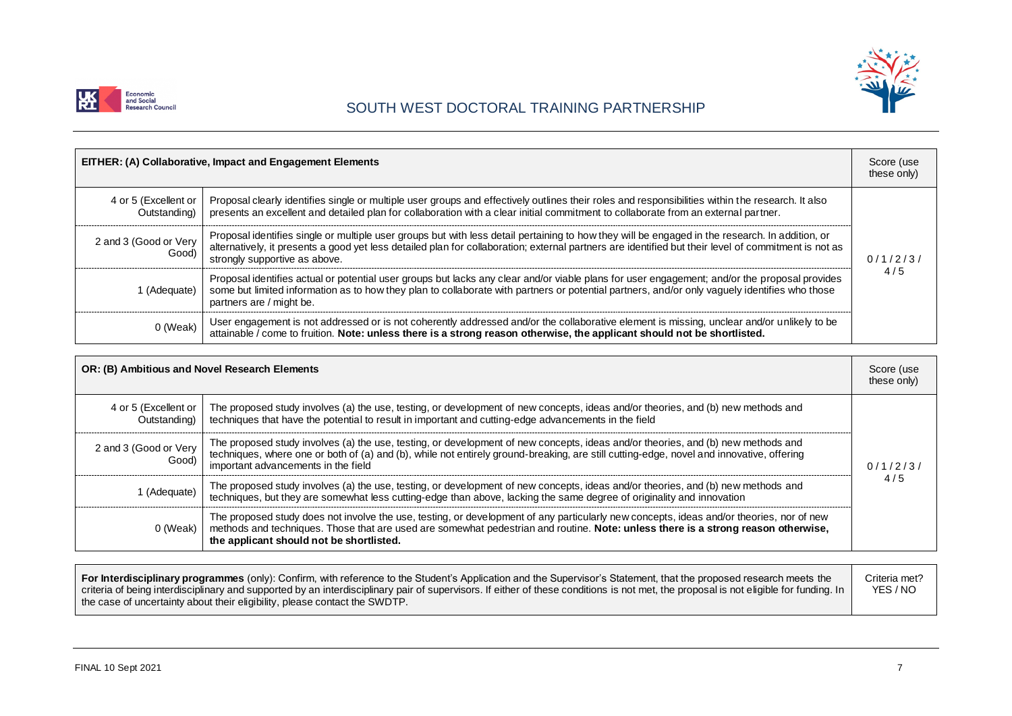



# SOUTH WEST DOCTORAL TRAINING PARTNERSHIP

|                                      | EITHER: (A) Collaborative, Impact and Engagement Elements                                                                                                                                                                                                                                                                                | Score (use<br>these only) |
|--------------------------------------|------------------------------------------------------------------------------------------------------------------------------------------------------------------------------------------------------------------------------------------------------------------------------------------------------------------------------------------|---------------------------|
| 4 or 5 (Excellent or<br>Outstanding) | Proposal clearly identifies single or multiple user groups and effectively outlines their roles and responsibilities within the research. It also<br>presents an excellent and detailed plan for collaboration with a clear initial commitment to collaborate from an external partner.                                                  |                           |
| 2 and 3 (Good or Very<br>Good)       | Proposal identifies single or multiple user groups but with less detail pertaining to how they will be engaged in the research. In addition, or<br>alternatively, it presents a good yet less detailed plan for collaboration; external partners are identified but their level of commitment is not as<br>strongly supportive as above. | 0/1/2/3/                  |
| 1 (Adequate)                         | Proposal identifies actual or potential user groups but lacks any clear and/or viable plans for user engagement; and/or the proposal provides<br>some but limited information as to how they plan to collaborate with partners or potential partners, and/or only vaguely identifies who those<br>partners are / might be.               | 4/5                       |
| 0 (Weak)                             | User engagement is not addressed or is not coherently addressed and/or the collaborative element is missing, unclear and/or unlikely to be<br>attainable $\overline{l}$ come to fruition. Note: unless there is a strong reason otherwise, the applicant should not be shortlisted.                                                      |                           |

| OR: (B) Ambitious and Novel Research Elements |                                                                                                                                                                                                                                                                                                                           | Score (use<br>these only) |
|-----------------------------------------------|---------------------------------------------------------------------------------------------------------------------------------------------------------------------------------------------------------------------------------------------------------------------------------------------------------------------------|---------------------------|
| 4 or 5 (Excellent or<br>Outstanding)          | The proposed study involves (a) the use, testing, or development of new concepts, ideas and/or theories, and (b) new methods and<br>techniques that have the potential to result in important and cutting-edge advancements in the field                                                                                  |                           |
| 2 and 3 (Good or Very<br>Good)                | The proposed study involves (a) the use, testing, or development of new concepts, ideas and/or theories, and (b) new methods and<br>techniques, where one or both of (a) and (b), while not entirely ground-breaking, are still cutting-edge, novel and innovative, offering<br>important advancements in the field       | 0/1/2/3/                  |
| I (Adequate)                                  | The proposed study involves (a) the use, testing, or development of new concepts, ideas and/or theories, and (b) new methods and<br>techniques, but they are somewhat less cutting-edge than above, lacking the same degree of originality and innovation                                                                 | 4/5                       |
| 0 (Weak)                                      | The proposed study does not involve the use, testing, or development of any particularly new concepts, ideas and/or theories, nor of new<br>methods and techniques. Those that are used are somewhat pedestrian and routine. Note: unless there is a strong reason otherwise,<br>the applicant should not be shortlisted. |                           |

| For Interdisciplinary programmes (only): Confirm, with reference to the Student's Application and the Supervisor's Statement, that the proposed research meets the<br>criteria of being interdisciplinary and supported by an interdisciplinary pair of supervisors. If either of these conditions is not met, the proposal is not eligible for funding. In |  |
|-------------------------------------------------------------------------------------------------------------------------------------------------------------------------------------------------------------------------------------------------------------------------------------------------------------------------------------------------------------|--|
| the case of uncertainty about their eligibility, please contact the SWDTP.                                                                                                                                                                                                                                                                                  |  |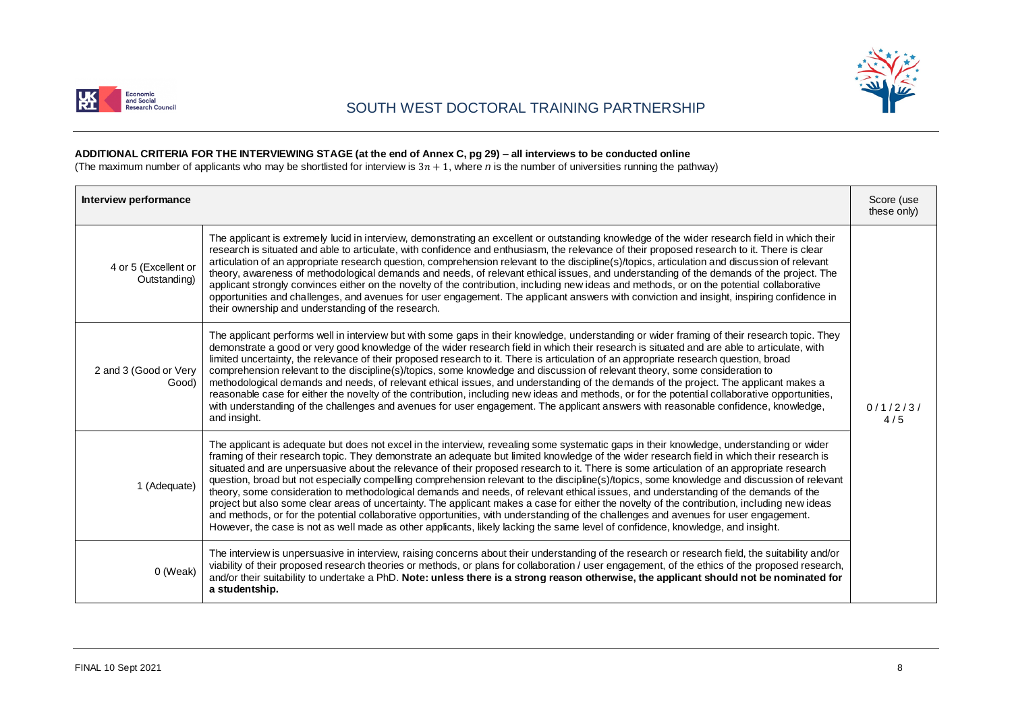

## SOUTH WEST DOCTORAL TRAINING PARTNERSHIP



#### **ADDITIONAL CRITERIA FOR THE INTERVIEWING STAGE (at the end of Annex C, pg 29) – all interviews to be conducted online**

(The maximum number of applicants who may be shortlisted for interview is 3 $n+1$ , where *n* is the number of universities running the pathway)

| Interview performance                |                                                                                                                                                                                                                                                                                                                                                                                                                                                                                                                                                                                                                                                                                                                                                                                                                                                                                                                                                                                                                                                                                                                                                      | Score (use<br>these only) |
|--------------------------------------|------------------------------------------------------------------------------------------------------------------------------------------------------------------------------------------------------------------------------------------------------------------------------------------------------------------------------------------------------------------------------------------------------------------------------------------------------------------------------------------------------------------------------------------------------------------------------------------------------------------------------------------------------------------------------------------------------------------------------------------------------------------------------------------------------------------------------------------------------------------------------------------------------------------------------------------------------------------------------------------------------------------------------------------------------------------------------------------------------------------------------------------------------|---------------------------|
| 4 or 5 (Excellent or<br>Outstanding) | The applicant is extremely lucid in interview, demonstrating an excellent or outstanding knowledge of the wider research field in which their<br>research is situated and able to articulate, with confidence and enthusiasm, the relevance of their proposed research to it. There is clear<br>articulation of an appropriate research question, comprehension relevant to the discipline(s)/topics, articulation and discussion of relevant<br>theory, awareness of methodological demands and needs, of relevant ethical issues, and understanding of the demands of the project. The<br>applicant strongly convinces either on the novelty of the contribution, including new ideas and methods, or on the potential collaborative<br>opportunities and challenges, and avenues for user engagement. The applicant answers with conviction and insight, inspiring confidence in<br>their ownership and understanding of the research.                                                                                                                                                                                                            |                           |
| 2 and 3 (Good or Very<br>Good)       | The applicant performs well in interview but with some gaps in their knowledge, understanding or wider framing of their research topic. They<br>demonstrate a good or very good knowledge of the wider research field in which their research is situated and are able to articulate, with<br>limited uncertainty, the relevance of their proposed research to it. There is articulation of an appropriate research question, broad<br>comprehension relevant to the discipline(s)/topics, some knowledge and discussion of relevant theory, some consideration to<br>methodological demands and needs, of relevant ethical issues, and understanding of the demands of the project. The applicant makes a<br>reasonable case for either the novelty of the contribution, including new ideas and methods, or for the potential collaborative opportunities,<br>with understanding of the challenges and avenues for user engagement. The applicant answers with reasonable confidence, knowledge,<br>and insight.                                                                                                                                   | 0/1/2/3/<br>4/5           |
| 1 (Adequate)                         | The applicant is adequate but does not excel in the interview, revealing some systematic gaps in their knowledge, understanding or wider<br>framing of their research topic. They demonstrate an adequate but limited knowledge of the wider research field in which their research is<br>situated and are unpersuasive about the relevance of their proposed research to it. There is some articulation of an appropriate research<br>question, broad but not especially compelling comprehension relevant to the discipline(s)/topics, some knowledge and discussion of relevant<br>theory, some consideration to methodological demands and needs, of relevant ethical issues, and understanding of the demands of the<br>project but also some clear areas of uncertainty. The applicant makes a case for either the novelty of the contribution, including new ideas<br>and methods, or for the potential collaborative opportunities, with understanding of the challenges and avenues for user engagement.<br>However, the case is not as well made as other applicants, likely lacking the same level of confidence, knowledge, and insight. |                           |
| 0 (Weak)                             | The interview is unpersuasive in interview, raising concerns about their understanding of the research or research field, the suitability and/or<br>viability of their proposed research theories or methods, or plans for collaboration / user engagement, of the ethics of the proposed research,<br>and/or their suitability to undertake a PhD. Note: unless there is a strong reason otherwise, the applicant should not be nominated for<br>a studentship.                                                                                                                                                                                                                                                                                                                                                                                                                                                                                                                                                                                                                                                                                     |                           |